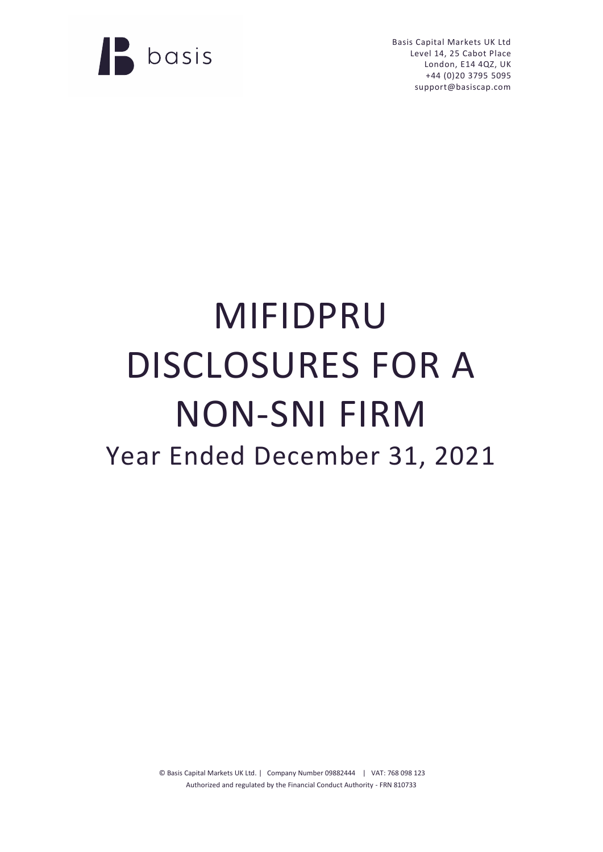

Basis Capital Markets UK Ltd Level 14, 25 Cabot Place London, E14 4QZ, UK +44 (0)20 3795 5095 support@basiscap.com

# MIFIDPRU DISCLOSURES FOR A NON-SNI FIRM Year Ended December 31, 2021

© Basis Capital Markets UK Ltd. | Company Number 09882444 | VAT: 768 098 123 Authorized and regulated by the Financial Conduct Authority - FRN 810733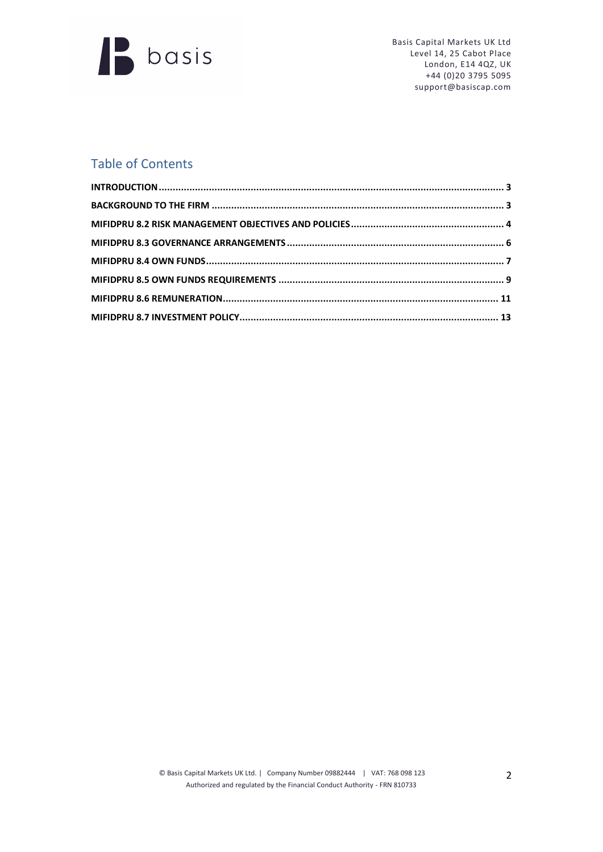

Basis Capital Markets UK Ltd Level 14, 25 Cabot Place London, E14 4QZ, UK +44 (0)20 3795 5095 support@basiscap.com

# Table of Contents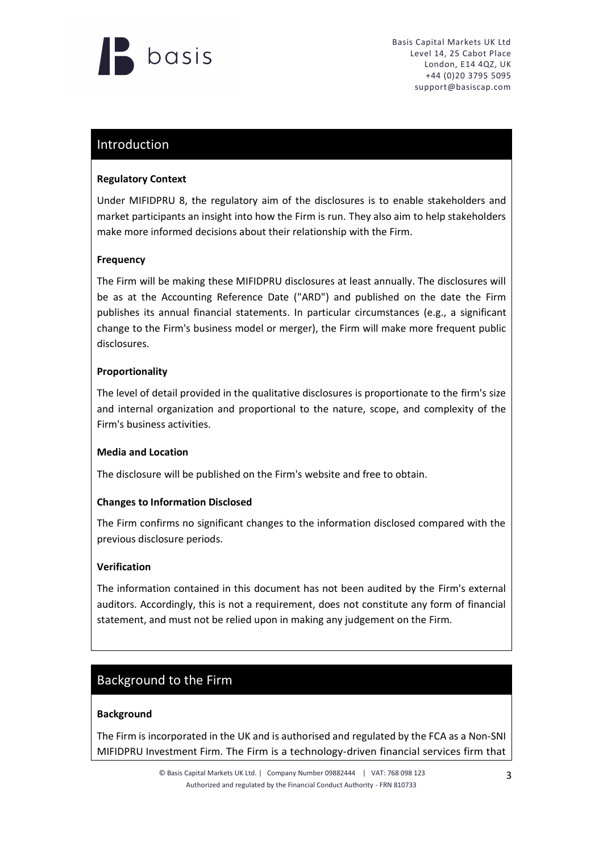# **K** basis

Basis Capital Markets UK Ltd Level 14, 25 Cabot Place London, E14 4QZ, UK +44 (0)20 3795 5095 support@basiscap.com

# <span id="page-2-0"></span>Introduction

#### **Regulatory Context**

Under MIFIDPRU 8, the regulatory aim of the disclosures is to enable stakeholders and market participants an insight into how the Firm is run. They also aim to help stakeholders make more informed decisions about their relationship with the Firm.

#### **Frequency**

The Firm will be making these MIFIDPRU disclosures at least annually. The disclosures will be as at the Accounting Reference Date ("ARD") and published on the date the Firm publishes its annual financial statements. In particular circumstances (e.g., a significant change to the Firm's business model or merger), the Firm will make more frequent public disclosures.

#### **Proportionality**

The level of detail provided in the qualitative disclosures is proportionate to the firm's size and internal organization and proportional to the nature, scope, and complexity of the Firm's business activities.

#### **Media and Location**

The disclosure will be published on the Firm's website and free to obtain.

#### **Changes to Information Disclosed**

The Firm confirms no significant changes to the information disclosed compared with the previous disclosure periods.

#### **Verification**

The information contained in this document has not been audited by the Firm's external auditors. Accordingly, this is not a requirement, does not constitute any form of financial statement, and must not be relied upon in making any judgement on the Firm.

# <span id="page-2-1"></span>Background to the Firm

#### **Background**

The Firm is incorporated in the UK and is authorised and regulated by the FCA as a Non-SNI MIFIDPRU Investment Firm. The Firm is a technology-driven financial services firm that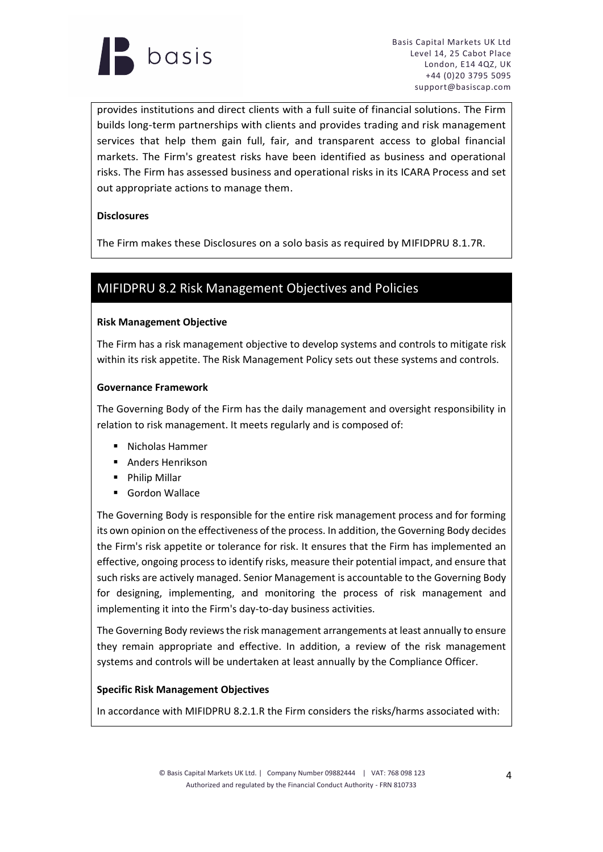

provides institutions and direct clients with a full suite of financial solutions. The Firm builds long-term partnerships with clients and provides trading and risk management services that help them gain full, fair, and transparent access to global financial markets. The Firm's greatest risks have been identified as business and operational risks. The Firm has assessed business and operational risks in its ICARA Process and set out appropriate actions to manage them.

#### **Disclosures**

The Firm makes these Disclosures on a solo basis as required by MIFIDPRU 8.1.7R.

### <span id="page-3-0"></span>MIFIDPRU 8.2 Risk Management Objectives and Policies

#### **Risk Management Objective**

The Firm has a risk management objective to develop systems and controls to mitigate risk within its risk appetite. The Risk Management Policy sets out these systems and controls.

#### **Governance Framework**

The Governing Body of the Firm has the daily management and oversight responsibility in relation to risk management. It meets regularly and is composed of:

- Nicholas Hammer
- Anders Henrikson
- Philip Millar
- Gordon Wallace

The Governing Body is responsible for the entire risk management process and for forming its own opinion on the effectiveness of the process. In addition, the Governing Body decides the Firm's risk appetite or tolerance for risk. It ensures that the Firm has implemented an effective, ongoing process to identify risks, measure their potential impact, and ensure that such risks are actively managed. Senior Management is accountable to the Governing Body for designing, implementing, and monitoring the process of risk management and implementing it into the Firm's day-to-day business activities.

The Governing Body reviewsthe risk management arrangements at least annually to ensure they remain appropriate and effective. In addition, a review of the risk management systems and controls will be undertaken at least annually by the Compliance Officer.

#### **Specific Risk Management Objectives**

In accordance with MIFIDPRU 8.2.1.R the Firm considers the risks/harms associated with: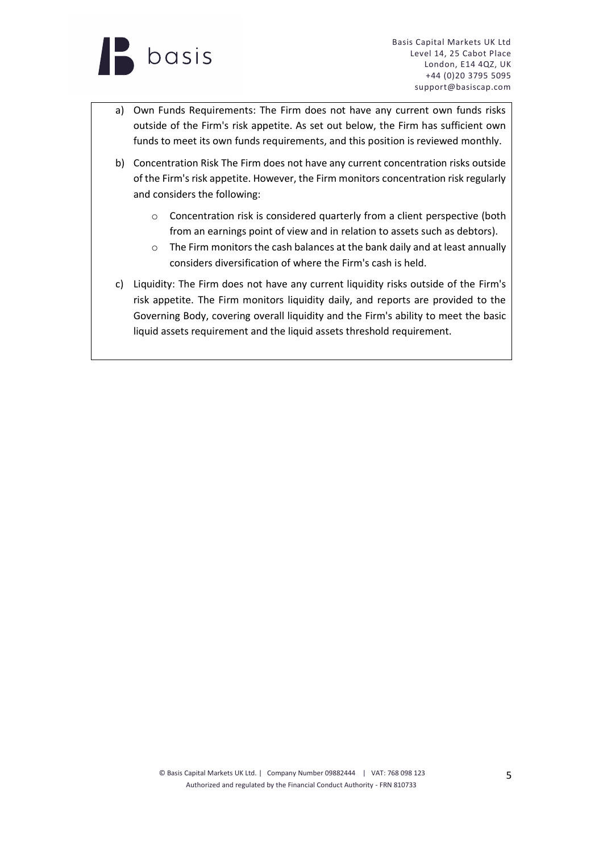

- a) Own Funds Requirements: The Firm does not have any current own funds risks outside of the Firm's risk appetite. As set out below, the Firm has sufficient own funds to meet its own funds requirements, and this position is reviewed monthly.
- b) Concentration Risk The Firm does not have any current concentration risks outside of the Firm's risk appetite. However, the Firm monitors concentration risk regularly and considers the following:
	- o Concentration risk is considered quarterly from a client perspective (both from an earnings point of view and in relation to assets such as debtors).
	- o The Firm monitors the cash balances at the bank daily and at least annually considers diversification of where the Firm's cash is held.
- c) Liquidity: The Firm does not have any current liquidity risks outside of the Firm's risk appetite. The Firm monitors liquidity daily, and reports are provided to the Governing Body, covering overall liquidity and the Firm's ability to meet the basic liquid assets requirement and the liquid assets threshold requirement.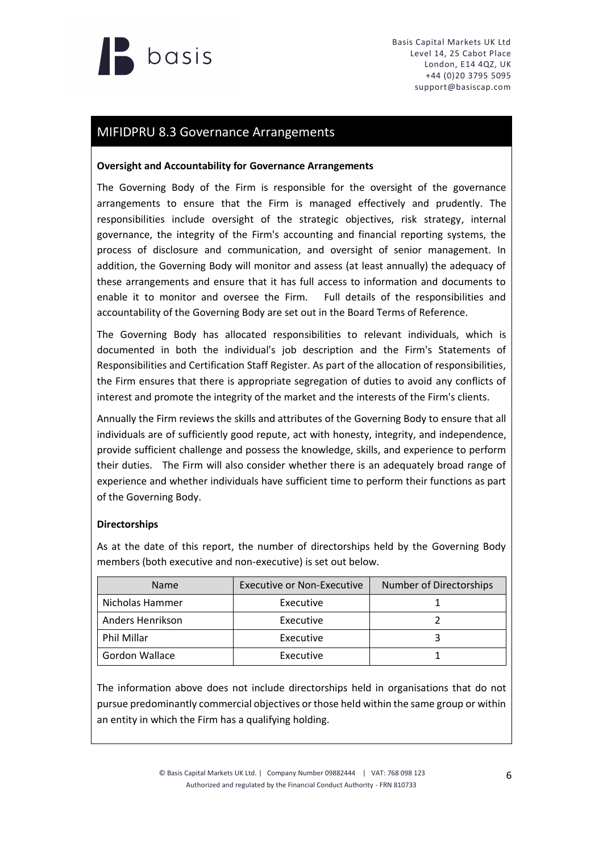

#### <span id="page-5-0"></span>MIFIDPRU 8.3 Governance Arrangements

#### **Oversight and Accountability for Governance Arrangements**

The Governing Body of the Firm is responsible for the oversight of the governance arrangements to ensure that the Firm is managed effectively and prudently. The responsibilities include oversight of the strategic objectives, risk strategy, internal governance, the integrity of the Firm's accounting and financial reporting systems, the process of disclosure and communication, and oversight of senior management. In addition, the Governing Body will monitor and assess (at least annually) the adequacy of these arrangements and ensure that it has full access to information and documents to enable it to monitor and oversee the Firm. Full details of the responsibilities and accountability of the Governing Body are set out in the Board Terms of Reference.

The Governing Body has allocated responsibilities to relevant individuals, which is documented in both the individual's job description and the Firm's Statements of Responsibilities and Certification Staff Register. As part of the allocation of responsibilities, the Firm ensures that there is appropriate segregation of duties to avoid any conflicts of interest and promote the integrity of the market and the interests of the Firm's clients.

Annually the Firm reviews the skills and attributes of the Governing Body to ensure that all individuals are of sufficiently good repute, act with honesty, integrity, and independence, provide sufficient challenge and possess the knowledge, skills, and experience to perform their duties. The Firm will also consider whether there is an adequately broad range of experience and whether individuals have sufficient time to perform their functions as part of the Governing Body.

#### **Directorships**

As at the date of this report, the number of directorships held by the Governing Body members (both executive and non-executive) is set out below.

| <b>Name</b>        | Executive or Non-Executive | Number of Directorships |
|--------------------|----------------------------|-------------------------|
| Nicholas Hammer    | Executive                  |                         |
| Anders Henrikson   | Executive                  |                         |
| <b>Phil Millar</b> | Executive                  |                         |
| Gordon Wallace     | Executive                  |                         |

The information above does not include directorships held in organisations that do not pursue predominantly commercial objectives or those held within the same group or within an entity in which the Firm has a qualifying holding.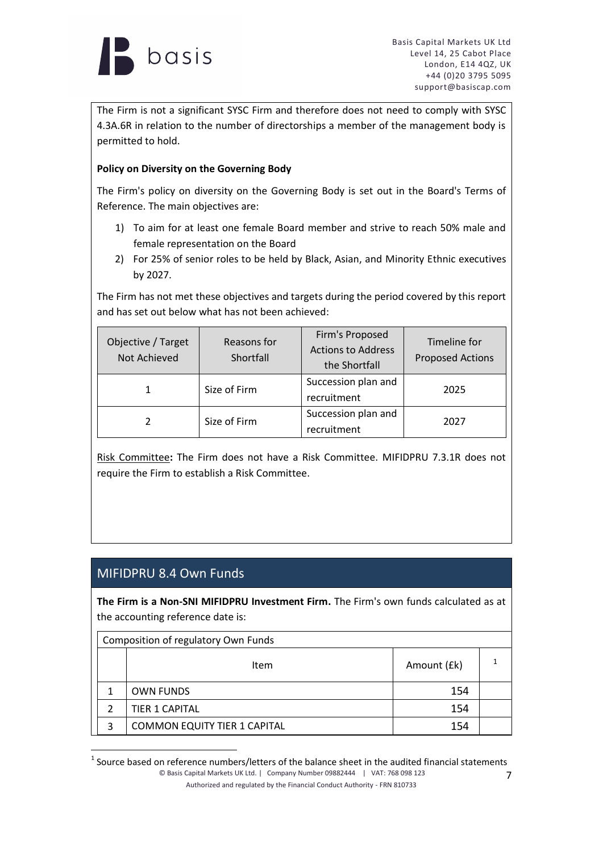

The Firm is not a significant SYSC Firm and therefore does not need to comply with SYSC 4.3A.6R in relation to the number of directorships a member of the management body is permitted to hold.

#### **Policy on Diversity on the Governing Body**

The Firm's policy on diversity on the Governing Body is set out in the Board's Terms of Reference. The main objectives are:

- 1) To aim for at least one female Board member and strive to reach 50% male and female representation on the Board
- 2) For 25% of senior roles to be held by Black, Asian, and Minority Ethnic executives by 2027.

The Firm has not met these objectives and targets during the period covered by this report and has set out below what has not been achieved:

| Objective / Target<br>Not Achieved | Reasons for<br>Shortfall | Firm's Proposed<br><b>Actions to Address</b><br>the Shortfall | Timeline for<br><b>Proposed Actions</b> |
|------------------------------------|--------------------------|---------------------------------------------------------------|-----------------------------------------|
|                                    | Size of Firm             | Succession plan and<br>recruitment                            | 2025                                    |
|                                    | Size of Firm             | Succession plan and<br>recruitment                            | 2027                                    |

Risk Committee**:** The Firm does not have a Risk Committee. MIFIDPRU 7.3.1R does not require the Firm to establish a Risk Committee.

# <span id="page-6-0"></span>MIFIDPRU 8.4 Own Funds

**The Firm is a Non-SNI MIFIDPRU Investment Firm.** The Firm's own funds calculated as at the accounting reference date is:

| Composition of regulatory Own Funds |                                     |             |  |
|-------------------------------------|-------------------------------------|-------------|--|
|                                     | Item                                | Amount (£k) |  |
|                                     | <b>OWN FUNDS</b>                    | 154         |  |
|                                     | <b>TIER 1 CAPITAL</b>               | 154         |  |
|                                     | <b>COMMON EQUITY TIER 1 CAPITAL</b> | 154         |  |

<sup>©</sup> Basis Capital Markets UK Ltd. | Company Number 09882444 | VAT: 768 098 123  $<sup>1</sup>$  Source based on reference numbers/letters of the balance sheet in the audited financial statements</sup>

Authorized and regulated by the Financial Conduct Authority - FRN 810733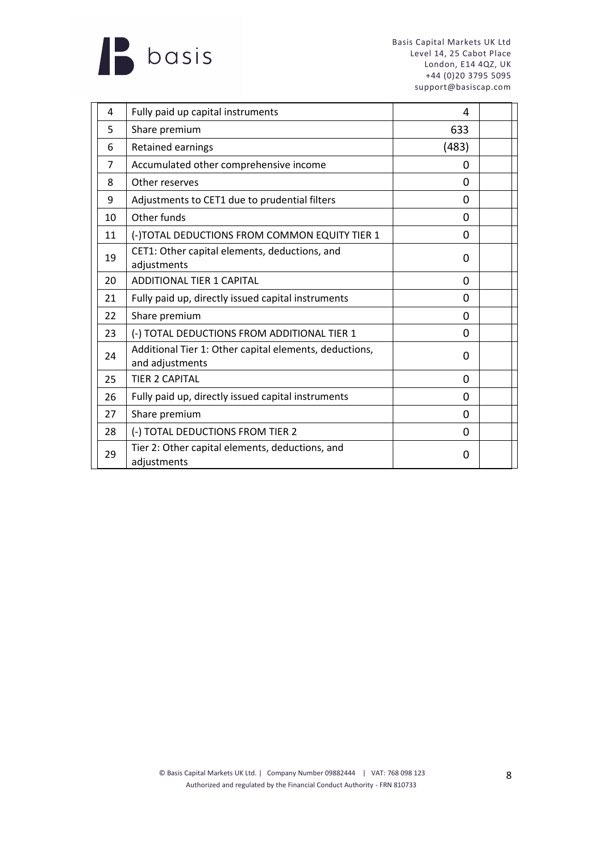

| 4  | Fully paid up capital instruments                                         | 4        |  |
|----|---------------------------------------------------------------------------|----------|--|
| 5  | Share premium                                                             | 633      |  |
| 6  | Retained earnings                                                         | (483)    |  |
| 7  | Accumulated other comprehensive income                                    | 0        |  |
| 8  | Other reserves                                                            | 0        |  |
| 9  | Adjustments to CET1 due to prudential filters                             | 0        |  |
| 10 | Other funds                                                               | 0        |  |
| 11 | (-) TOTAL DEDUCTIONS FROM COMMON EQUITY TIER 1                            | 0        |  |
| 19 | CET1: Other capital elements, deductions, and<br>adjustments              | 0        |  |
| 20 | <b>ADDITIONAL TIER 1 CAPITAL</b>                                          | 0        |  |
| 21 | Fully paid up, directly issued capital instruments                        | 0        |  |
| 22 | Share premium                                                             | $\Omega$ |  |
| 23 | (-) TOTAL DEDUCTIONS FROM ADDITIONAL TIER 1                               | 0        |  |
| 24 | Additional Tier 1: Other capital elements, deductions,<br>and adjustments | $\Omega$ |  |
| 25 | <b>TIER 2 CAPITAL</b>                                                     | $\Omega$ |  |
| 26 | Fully paid up, directly issued capital instruments                        | $\Omega$ |  |
| 27 | Share premium                                                             | $\Omega$ |  |
| 28 | (-) TOTAL DEDUCTIONS FROM TIER 2                                          | $\Omega$ |  |
| 29 | Tier 2: Other capital elements, deductions, and<br>adjustments            | $\Omega$ |  |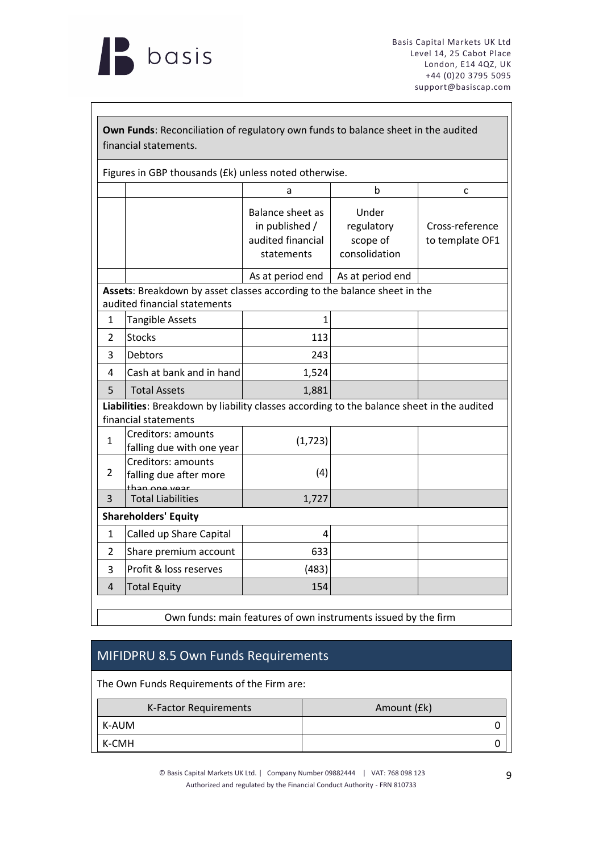

| Own Funds: Reconciliation of regulatory own funds to balance sheet in the audited<br>financial statements. |                                                                                                                   |                                                                       |                                                  |                                    |
|------------------------------------------------------------------------------------------------------------|-------------------------------------------------------------------------------------------------------------------|-----------------------------------------------------------------------|--------------------------------------------------|------------------------------------|
| Figures in GBP thousands (£k) unless noted otherwise.                                                      |                                                                                                                   |                                                                       |                                                  |                                    |
|                                                                                                            |                                                                                                                   | a                                                                     | b                                                | C                                  |
|                                                                                                            |                                                                                                                   | Balance sheet as<br>in published /<br>audited financial<br>statements | Under<br>regulatory<br>scope of<br>consolidation | Cross-reference<br>to template OF1 |
|                                                                                                            |                                                                                                                   | As at period end                                                      | As at period end                                 |                                    |
|                                                                                                            | Assets: Breakdown by asset classes according to the balance sheet in the<br>audited financial statements          |                                                                       |                                                  |                                    |
| 1                                                                                                          | <b>Tangible Assets</b>                                                                                            | 1                                                                     |                                                  |                                    |
| $\overline{2}$                                                                                             | <b>Stocks</b>                                                                                                     | 113                                                                   |                                                  |                                    |
| 3                                                                                                          | Debtors                                                                                                           | 243                                                                   |                                                  |                                    |
| 4                                                                                                          | Cash at bank and in hand                                                                                          | 1,524                                                                 |                                                  |                                    |
| 5                                                                                                          | <b>Total Assets</b>                                                                                               | 1,881                                                                 |                                                  |                                    |
|                                                                                                            | Liabilities: Breakdown by liability classes according to the balance sheet in the audited<br>financial statements |                                                                       |                                                  |                                    |
| 1                                                                                                          | Creditors: amounts<br>falling due with one year                                                                   | (1, 723)                                                              |                                                  |                                    |
| 2                                                                                                          | Creditors: amounts<br>falling due after more<br>than one year                                                     | (4)                                                                   |                                                  |                                    |
| 3                                                                                                          | <b>Total Liabilities</b>                                                                                          | 1,727                                                                 |                                                  |                                    |
| <b>Shareholders' Equity</b>                                                                                |                                                                                                                   |                                                                       |                                                  |                                    |
| 1                                                                                                          | Called up Share Capital                                                                                           | 4                                                                     |                                                  |                                    |
| 2                                                                                                          | Share premium account                                                                                             | 633                                                                   |                                                  |                                    |
| 3                                                                                                          | Profit & loss reserves                                                                                            | (483)                                                                 |                                                  |                                    |
| 4                                                                                                          | <b>Total Equity</b>                                                                                               | 154                                                                   |                                                  |                                    |

Own funds: main features of own instruments issued by the firm

# <span id="page-8-0"></span>MIFIDPRU 8.5 Own Funds Requirements

The Own Funds Requirements of the Firm are:

| K-Factor Requirements | Amount (£k) |
|-----------------------|-------------|
| K-AUM                 |             |
| K-CMH                 |             |

© Basis Capital Markets UK Ltd. | Company Number 09882444 | VAT: 768 098 123 Authorized and regulated by the Financial Conduct Authority - FRN 810733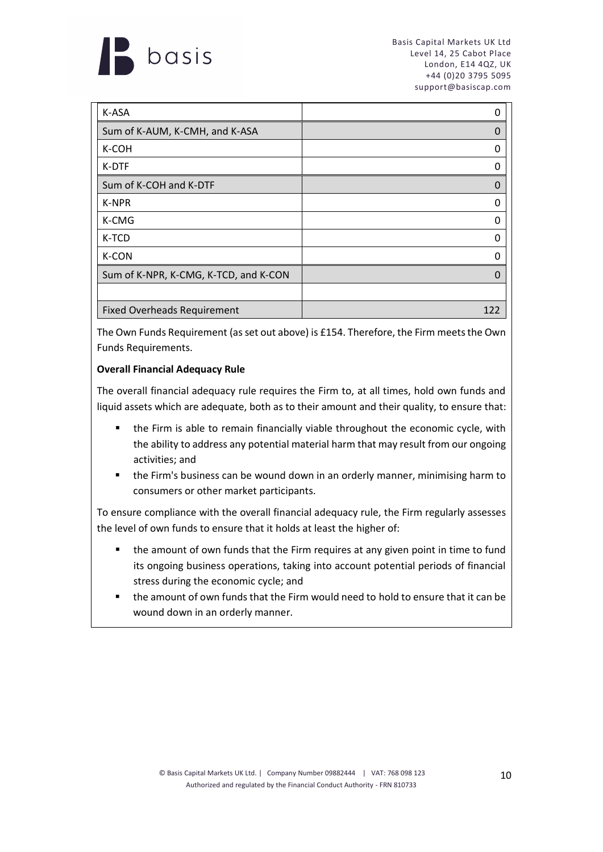

| K-ASA                                 |     |
|---------------------------------------|-----|
| Sum of K-AUM, K-CMH, and K-ASA        | 0   |
| K-COH                                 | 0   |
| K-DTF                                 | O   |
| Sum of K-COH and K-DTF                | 0   |
| <b>K-NPR</b>                          | 0   |
| K-CMG                                 | 0   |
| K-TCD                                 | O   |
| K-CON                                 | n   |
| Sum of K-NPR, K-CMG, K-TCD, and K-CON | O   |
|                                       |     |
| <b>Fixed Overheads Requirement</b>    | 122 |

The Own Funds Requirement (as set out above) is £154. Therefore, the Firm meets the Own Funds Requirements.

#### **Overall Financial Adequacy Rule**

The overall financial adequacy rule requires the Firm to, at all times, hold own funds and liquid assets which are adequate, both as to their amount and their quality, to ensure that:

- the Firm is able to remain financially viable throughout the economic cycle, with the ability to address any potential material harm that may result from our ongoing activities; and
- the Firm's business can be wound down in an orderly manner, minimising harm to consumers or other market participants.

To ensure compliance with the overall financial adequacy rule, the Firm regularly assesses the level of own funds to ensure that it holds at least the higher of:

- the amount of own funds that the Firm requires at any given point in time to fund its ongoing business operations, taking into account potential periods of financial stress during the economic cycle; and
- the amount of own funds that the Firm would need to hold to ensure that it can be wound down in an orderly manner.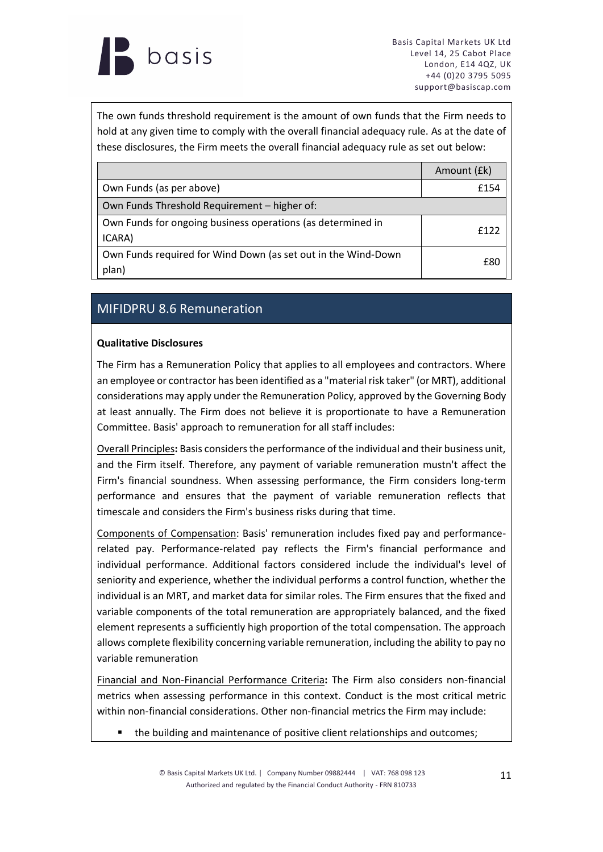

The own funds threshold requirement is the amount of own funds that the Firm needs to hold at any given time to comply with the overall financial adequacy rule. As at the date of these disclosures, the Firm meets the overall financial adequacy rule as set out below:

|                                                               | Amount (£k) |
|---------------------------------------------------------------|-------------|
| Own Funds (as per above)                                      | £154        |
| Own Funds Threshold Requirement - higher of:                  |             |
| Own Funds for ongoing business operations (as determined in   | £122        |
| ICARA)                                                        |             |
| Own Funds required for Wind Down (as set out in the Wind-Down | £80         |
| plan)                                                         |             |

# <span id="page-10-0"></span>MIFIDPRU 8.6 Remuneration

#### **Qualitative Disclosures**

The Firm has a Remuneration Policy that applies to all employees and contractors. Where an employee or contractor has been identified as a "material risk taker" (or MRT), additional considerations may apply under the Remuneration Policy, approved by the Governing Body at least annually. The Firm does not believe it is proportionate to have a Remuneration Committee. Basis' approach to remuneration for all staff includes:

Overall Principles**:** Basis considers the performance of the individual and their business unit, and the Firm itself. Therefore, any payment of variable remuneration mustn't affect the Firm's financial soundness. When assessing performance, the Firm considers long-term performance and ensures that the payment of variable remuneration reflects that timescale and considers the Firm's business risks during that time.

Components of Compensation: Basis' remuneration includes fixed pay and performancerelated pay. Performance-related pay reflects the Firm's financial performance and individual performance. Additional factors considered include the individual's level of seniority and experience, whether the individual performs a control function, whether the individual is an MRT, and market data for similar roles. The Firm ensures that the fixed and variable components of the total remuneration are appropriately balanced, and the fixed element represents a sufficiently high proportion of the total compensation. The approach allows complete flexibility concerning variable remuneration, including the ability to pay no variable remuneration

Financial and Non-Financial Performance Criteria**:** The Firm also considers non-financial metrics when assessing performance in this context. Conduct is the most critical metric within non-financial considerations. Other non-financial metrics the Firm may include:

the building and maintenance of positive client relationships and outcomes;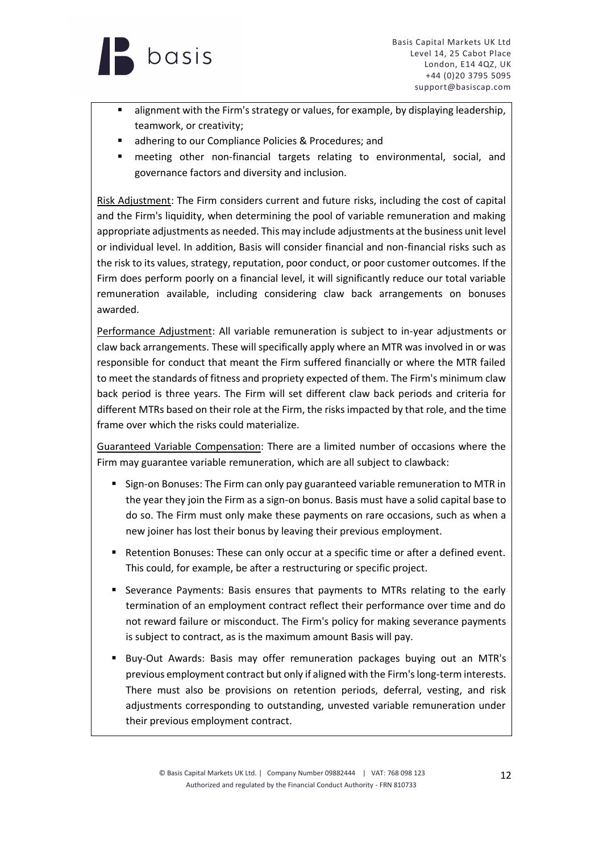

- alignment with the Firm's strategy or values, for example, by displaying leadership, teamwork, or creativity;
- adhering to our Compliance Policies & Procedures; and
- meeting other non-financial targets relating to environmental, social, and governance factors and diversity and inclusion.

Risk Adjustment: The Firm considers current and future risks, including the cost of capital and the Firm's liquidity, when determining the pool of variable remuneration and making appropriate adjustments as needed. This may include adjustments at the business unit level or individual level. In addition, Basis will consider financial and non-financial risks such as the risk to its values, strategy, reputation, poor conduct, or poor customer outcomes. If the Firm does perform poorly on a financial level, it will significantly reduce our total variable remuneration available, including considering claw back arrangements on bonuses awarded.

Performance Adjustment: All variable remuneration is subject to in-year adjustments or claw back arrangements. These will specifically apply where an MTR was involved in or was responsible for conduct that meant the Firm suffered financially or where the MTR failed to meet the standards of fitness and propriety expected of them. The Firm's minimum claw back period is three years. The Firm will set different claw back periods and criteria for different MTRs based on their role at the Firm, the risks impacted by that role, and the time frame over which the risks could materialize.

Guaranteed Variable Compensation: There are a limited number of occasions where the Firm may guarantee variable remuneration, which are all subject to clawback:

- Sign-on Bonuses: The Firm can only pay guaranteed variable remuneration to MTR in the year they join the Firm as a sign-on bonus. Basis must have a solid capital base to do so. The Firm must only make these payments on rare occasions, such as when a new joiner has lost their bonus by leaving their previous employment.
- Retention Bonuses: These can only occur at a specific time or after a defined event. This could, for example, be after a restructuring or specific project.
- Severance Payments: Basis ensures that payments to MTRs relating to the early termination of an employment contract reflect their performance over time and do not reward failure or misconduct. The Firm's policy for making severance payments is subject to contract, as is the maximum amount Basis will pay.
- Buy-Out Awards: Basis may offer remuneration packages buying out an MTR's previous employment contract but only if aligned with the Firm'slong-term interests. There must also be provisions on retention periods, deferral, vesting, and risk adjustments corresponding to outstanding, unvested variable remuneration under their previous employment contract.